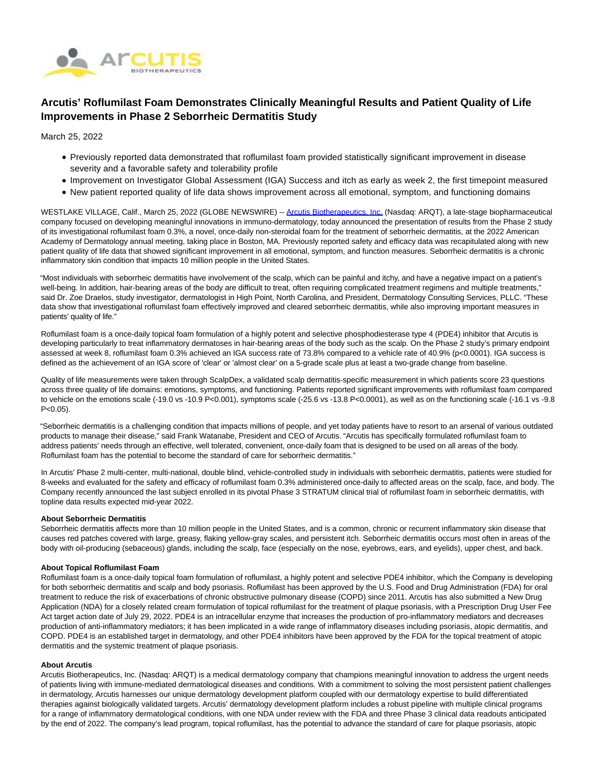

# **Arcutis' Roflumilast Foam Demonstrates Clinically Meaningful Results and Patient Quality of Life Improvements in Phase 2 Seborrheic Dermatitis Study**

March 25, 2022

- Previously reported data demonstrated that roflumilast foam provided statistically significant improvement in disease severity and a favorable safety and tolerability profile
- Improvement on Investigator Global Assessment (IGA) Success and itch as early as week 2, the first timepoint measured
- New patient reported quality of life data shows improvement across all emotional, symptom, and functioning domains

WESTLAKE VILLAGE, Calif., March 25, 2022 (GLOBE NEWSWIRE) -- [Arcutis Biotherapeutics, Inc. \(](https://www.globenewswire.com/Tracker?data=cRQi1PsAh2B_4Vpshor0_G84VeZZuqxjn0a8SEQW1BzYhD8f3-LyHGXRuVZdWffCw6ZZJzkC_YG8WrZK3Lv1VucrJETSEi4zrKwrIBcHyg0=)Nasdaq: ARQT), a late-stage biopharmaceutical company focused on developing meaningful innovations in immuno-dermatology, today announced the presentation of results from the Phase 2 study of its investigational roflumilast foam 0.3%, a novel, once-daily non-steroidal foam for the treatment of seborrheic dermatitis, at the 2022 American Academy of Dermatology annual meeting, taking place in Boston, MA. Previously reported safety and efficacy data was recapitulated along with new patient quality of life data that showed significant improvement in all emotional, symptom, and function measures. Seborrheic dermatitis is a chronic inflammatory skin condition that impacts 10 million people in the United States.

"Most individuals with seborrheic dermatitis have involvement of the scalp, which can be painful and itchy, and have a negative impact on a patient's well-being. In addition, hair-bearing areas of the body are difficult to treat, often requiring complicated treatment regimens and multiple treatments," said Dr. Zoe Draelos, study investigator, dermatologist in High Point, North Carolina, and President, Dermatology Consulting Services, PLLC. "These data show that investigational roflumilast foam effectively improved and cleared seborrheic dermatitis, while also improving important measures in patients' quality of life."

Roflumilast foam is a once-daily topical foam formulation of a highly potent and selective phosphodiesterase type 4 (PDE4) inhibitor that Arcutis is developing particularly to treat inflammatory dermatoses in hair-bearing areas of the body such as the scalp. On the Phase 2 study's primary endpoint assessed at week 8, roflumilast foam 0.3% achieved an IGA success rate of 73.8% compared to a vehicle rate of 40.9% (p<0.0001). IGA success is defined as the achievement of an IGA score of 'clear' or 'almost clear' on a 5-grade scale plus at least a two-grade change from baseline.

Quality of life measurements were taken through ScalpDex, a validated scalp dermatitis-specific measurement in which patients score 23 questions across three quality of life domains: emotions, symptoms, and functioning. Patients reported significant improvements with roflumilast foam compared to vehicle on the emotions scale (-19.0 vs -10.9 P<0.001), symptoms scale (-25.6 vs -13.8 P<0.0001), as well as on the functioning scale (-16.1 vs -9.8  $P < 0.05$ ).

"Seborrheic dermatitis is a challenging condition that impacts millions of people, and yet today patients have to resort to an arsenal of various outdated products to manage their disease," said Frank Watanabe, President and CEO of Arcutis. "Arcutis has specifically formulated roflumilast foam to address patients' needs through an effective, well tolerated, convenient, once-daily foam that is designed to be used on all areas of the body. Roflumilast foam has the potential to become the standard of care for seborrheic dermatitis."

In Arcutis' Phase 2 multi-center, multi-national, double blind, vehicle-controlled study in individuals with seborrheic dermatitis, patients were studied for 8-weeks and evaluated for the safety and efficacy of roflumilast foam 0.3% administered once-daily to affected areas on the scalp, face, and body. The Company recently announced the last subject enrolled in its pivotal Phase 3 STRATUM clinical trial of roflumilast foam in seborrheic dermatitis, with topline data results expected mid-year 2022.

# **About Seborrheic Dermatitis**

Seborrheic dermatitis affects more than 10 million people in the United States, and is a common, chronic or recurrent inflammatory skin disease that causes red patches covered with large, greasy, flaking yellow-gray scales, and persistent itch. Seborrheic dermatitis occurs most often in areas of the body with oil-producing (sebaceous) glands, including the scalp, face (especially on the nose, eyebrows, ears, and eyelids), upper chest, and back.

# **About Topical Roflumilast Foam**

Roflumilast foam is a once-daily topical foam formulation of roflumilast, a highly potent and selective PDE4 inhibitor, which the Company is developing for both seborrheic dermatitis and scalp and body psoriasis. Roflumilast has been approved by the U.S. Food and Drug Administration (FDA) for oral treatment to reduce the risk of exacerbations of chronic obstructive pulmonary disease (COPD) since 2011. Arcutis has also submitted a New Drug Application (NDA) for a closely related cream formulation of topical roflumilast for the treatment of plaque psoriasis, with a Prescription Drug User Fee Act target action date of July 29, 2022. PDE4 is an intracellular enzyme that increases the production of pro-inflammatory mediators and decreases production of anti-inflammatory mediators; it has been implicated in a wide range of inflammatory diseases including psoriasis, atopic dermatitis, and COPD. PDE4 is an established target in dermatology, and other PDE4 inhibitors have been approved by the FDA for the topical treatment of atopic dermatitis and the systemic treatment of plaque psoriasis.

# **About Arcutis**

Arcutis Biotherapeutics, Inc. (Nasdaq: ARQT) is a medical dermatology company that champions meaningful innovation to address the urgent needs of patients living with immune-mediated dermatological diseases and conditions. With a commitment to solving the most persistent patient challenges in dermatology, Arcutis harnesses our unique dermatology development platform coupled with our dermatology expertise to build differentiated therapies against biologically validated targets. Arcutis' dermatology development platform includes a robust pipeline with multiple clinical programs for a range of inflammatory dermatological conditions, with one NDA under review with the FDA and three Phase 3 clinical data readouts anticipated by the end of 2022. The company's lead program, topical roflumilast, has the potential to advance the standard of care for plaque psoriasis, atopic